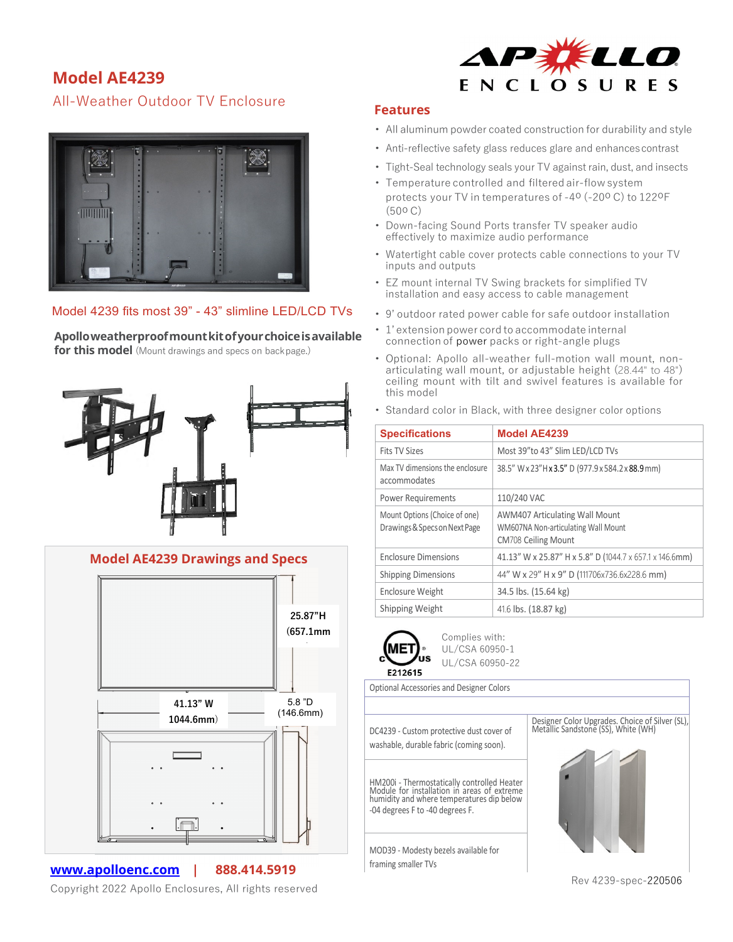## **Model AE4239**

All-Weather Outdoor TV Enclosure



## Model 4239 fits most 39" - 43" slimline LED/LCD TVs

**Apolloweatherproofmountkitofyourchoiceisavailable** 

for this model (Mount drawings and specs on backpage.)





**[www.apolloenc.com](http://www.apolloenc.com/) | 888.414.5919**

Copyright 2022 Apollo Enclosures, All rights reserved



## **Features**

- All aluminum powder coated construction for durability and style
- Anti-reflective safety glass reduces glare and enhances contrast
- Tight-Seal technology seals your TV against rain, dust, and insects
- Temperature controlled and filtered air-flowsystem protects your TV in temperatures of -4o (-20o C) to 122oF (50o C)
- Down-facing Sound Ports transfer TV speaker audio effectively to maximize audio performance
- Watertight cable cover protects cable connections to your TV inputs and outputs
- EZ mount internal TV Swing brackets for simplified TV installation and easy access to cable management
- 9' outdoor rated power cable for safe outdoor installation
- 1' extension power cord to accommodate internal connection of power packs or right-angle plugs
- Optional: Apollo all-weather full-motion wall mount, nonarticulating wall mount, or adjustable height (28.44" to 48") ceiling mount with tilt and swivel features is available for this model
- Standard color in Black, with three designer color options

| <b>Specifications</b>                                          | <b>Model AE4239</b>                                                                                        |
|----------------------------------------------------------------|------------------------------------------------------------------------------------------------------------|
| <b>Fits TV Sizes</b>                                           | Most 39"to 43" Slim LED/LCD TVs                                                                            |
| Max TV dimensions the enclosure<br>accommodates                | 38.5" W x 23" H x 3.5" D (977.9 x 584.2 x 88.9 mm)                                                         |
| <b>Power Requirements</b>                                      | 110/240 VAC                                                                                                |
| Mount Options (Choice of one)<br>Drawings & Specs on Next Page | <b>AWM407 Articulating Wall Mount</b><br>WM607NA Non-articulating Wall Mount<br><b>CM708 Ceiling Mount</b> |
| <b>Enclosure Dimensions</b>                                    | 41.13" W x 25.87" H x 5.8" D (1044.7 x 657.1 x 146.6mm)                                                    |
| <b>Shipping Dimensions</b>                                     | 44" W x 29" H x 9" D (111706x736.6x228.6 mm)                                                               |
| <b>Enclosure Weight</b>                                        | 34.5 lbs. (15.64 kg)                                                                                       |
| Shipping Weight                                                | 41.6 lbs. (18.87 kg)                                                                                       |



Complies with: UL/CSA 60950-1 UL/CSA 60950-22

Optional Accessories and Designer Colors

DC4239 - Custom protective dust cover of washable, durable fabric (coming soon).

HM200i - Thermostatically controlled Heater Module for installation in areas of extreme humidity and where temperatures dip below -04 degrees F to -40 degrees F.

MOD39 - Modesty bezels available for framing smaller TVs





Rev 4239-spec-220506